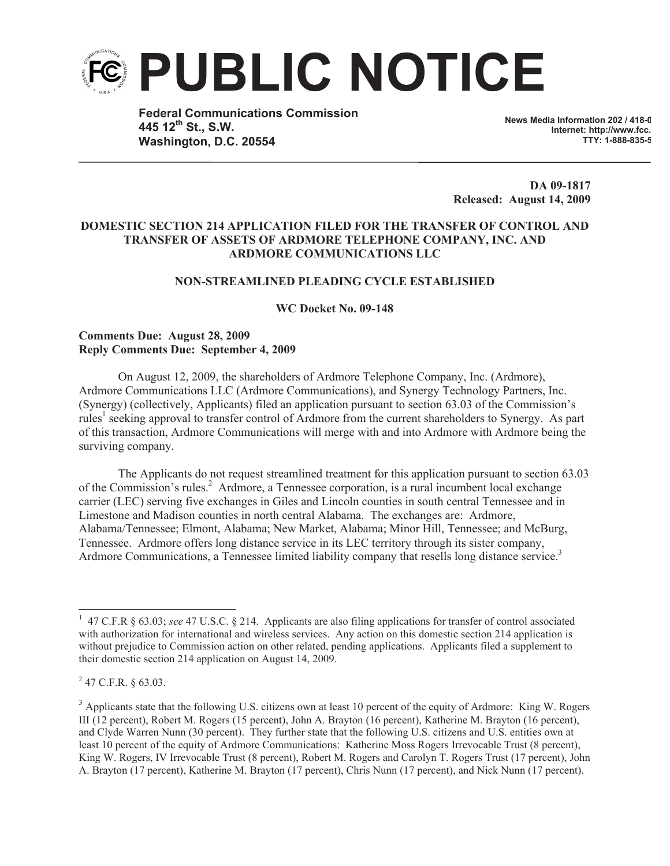

**Federal Communications Commission 445 12th St., S.W. Washington, D.C. 20554**

**News Media Information 202 / 418-0 Internet: http://www.fcc. TTY: 1-888-835-5322**

**DA 09-1817 Released: August 14, 2009**

# **DOMESTIC SECTION 214 APPLICATION FILED FOR THE TRANSFER OF CONTROL AND TRANSFER OF ASSETS OF ARDMORE TELEPHONE COMPANY, INC. AND ARDMORE COMMUNICATIONS LLC**

#### **NON-STREAMLINED PLEADING CYCLE ESTABLISHED**

**WC Docket No. 09-148**

## **Comments Due: August 28, 2009 Reply Comments Due: September 4, 2009**

On August 12, 2009, the shareholders of Ardmore Telephone Company, Inc. (Ardmore), Ardmore Communications LLC (Ardmore Communications), and Synergy Technology Partners, Inc. (Synergy) (collectively, Applicants) filed an application pursuant to section 63.03 of the Commission's rules<sup>1</sup> seeking approval to transfer control of Ardmore from the current shareholders to Synergy. As part of this transaction, Ardmore Communications will merge with and into Ardmore with Ardmore being the surviving company.

The Applicants do not request streamlined treatment for this application pursuant to section 63.03 of the Commission's rules.<sup>2</sup> Ardmore, a Tennessee corporation, is a rural incumbent local exchange carrier (LEC) serving five exchanges in Giles and Lincoln counties in south central Tennessee and in Limestone and Madison counties in north central Alabama. The exchanges are: Ardmore, Alabama/Tennessee; Elmont, Alabama; New Market, Alabama; Minor Hill, Tennessee; and McBurg, Tennessee. Ardmore offers long distance service in its LEC territory through its sister company, Ardmore Communications, a Tennessee limited liability company that resells long distance service.<sup>3</sup>

<sup>&</sup>lt;sup>1</sup> 47 C.F.R § 63.03; *see* 47 U.S.C. § 214. Applicants are also filing applications for transfer of control associated with authorization for international and wireless services. Any action on this domestic section 214 application is without prejudice to Commission action on other related, pending applications. Applicants filed a supplement to their domestic section 214 application on August 14, 2009.

 $^{2}$  47 C.F.R. § 63.03.

<sup>&</sup>lt;sup>3</sup> Applicants state that the following U.S. citizens own at least 10 percent of the equity of Ardmore: King W. Rogers III (12 percent), Robert M. Rogers (15 percent), John A. Brayton (16 percent), Katherine M. Brayton (16 percent), and Clyde Warren Nunn (30 percent). They further state that the following U.S. citizens and U.S. entities own at least 10 percent of the equity of Ardmore Communications: Katherine Moss Rogers Irrevocable Trust (8 percent), King W. Rogers, IV Irrevocable Trust (8 percent), Robert M. Rogers and Carolyn T. Rogers Trust (17 percent), John A. Brayton (17 percent), Katherine M. Brayton (17 percent), Chris Nunn (17 percent), and Nick Nunn (17 percent).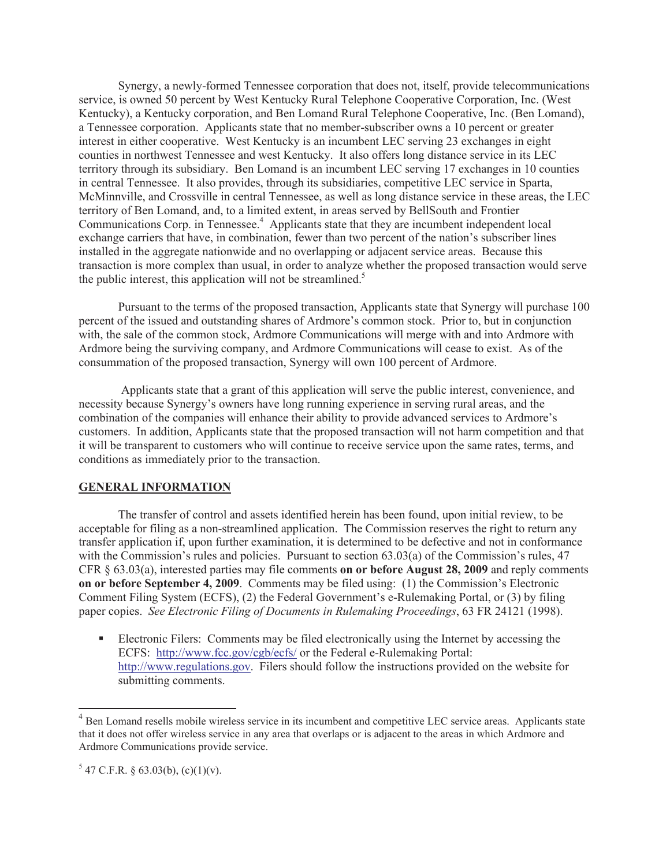Synergy, a newly-formed Tennessee corporation that does not, itself, provide telecommunications service, is owned 50 percent by West Kentucky Rural Telephone Cooperative Corporation, Inc. (West Kentucky), a Kentucky corporation, and Ben Lomand Rural Telephone Cooperative, Inc. (Ben Lomand), a Tennessee corporation. Applicants state that no member-subscriber owns a 10 percent or greater interest in either cooperative. West Kentucky is an incumbent LEC serving 23 exchanges in eight counties in northwest Tennessee and west Kentucky. It also offers long distance service in its LEC territory through its subsidiary. Ben Lomand is an incumbent LEC serving 17 exchanges in 10 counties in central Tennessee. It also provides, through its subsidiaries, competitive LEC service in Sparta, McMinnville, and Crossville in central Tennessee, as well as long distance service in these areas, the LEC territory of Ben Lomand, and, to a limited extent, in areas served by BellSouth and Frontier Communications Corp. in Tennessee.<sup>4</sup> Applicants state that they are incumbent independent local exchange carriers that have, in combination, fewer than two percent of the nation's subscriber lines installed in the aggregate nationwide and no overlapping or adjacent service areas. Because this transaction is more complex than usual, in order to analyze whether the proposed transaction would serve the public interest, this application will not be streamlined.<sup>5</sup>

Pursuant to the terms of the proposed transaction, Applicants state that Synergy will purchase 100 percent of the issued and outstanding shares of Ardmore's common stock. Prior to, but in conjunction with, the sale of the common stock, Ardmore Communications will merge with and into Ardmore with Ardmore being the surviving company, and Ardmore Communications will cease to exist. As of the consummation of the proposed transaction, Synergy will own 100 percent of Ardmore.

Applicants state that a grant of this application will serve the public interest, convenience, and necessity because Synergy's owners have long running experience in serving rural areas, and the combination of the companies will enhance their ability to provide advanced services to Ardmore's customers. In addition, Applicants state that the proposed transaction will not harm competition and that it will be transparent to customers who will continue to receive service upon the same rates, terms, and conditions as immediately prior to the transaction.

## **GENERAL INFORMATION**

The transfer of control and assets identified herein has been found, upon initial review, to be acceptable for filing as a non-streamlined application. The Commission reserves the right to return any transfer application if, upon further examination, it is determined to be defective and not in conformance with the Commission's rules and policies. Pursuant to section 63.03(a) of the Commission's rules, 47 CFR § 63.03(a), interested parties may file comments **on or before August 28, 2009** and reply comments **on or before September 4, 2009**. Comments may be filed using: (1) the Commission's Electronic Comment Filing System (ECFS), (2) the Federal Government's e-Rulemaking Portal, or (3) by filing paper copies. *See Electronic Filing of Documents in Rulemaking Proceedings*, 63 FR 24121 (1998).

■ Electronic Filers: Comments may be filed electronically using the Internet by accessing the ECFS: http://www.fcc.gov/cgb/ecfs/ or the Federal e-Rulemaking Portal: http://www.regulations.gov. Filers should follow the instructions provided on the website for submitting comments.

<sup>&</sup>lt;sup>4</sup> Ben Lomand resells mobile wireless service in its incumbent and competitive LEC service areas. Applicants state that it does not offer wireless service in any area that overlaps or is adjacent to the areas in which Ardmore and Ardmore Communications provide service.

 $5$  47 C.F.R. § 63.03(b), (c)(1)(v).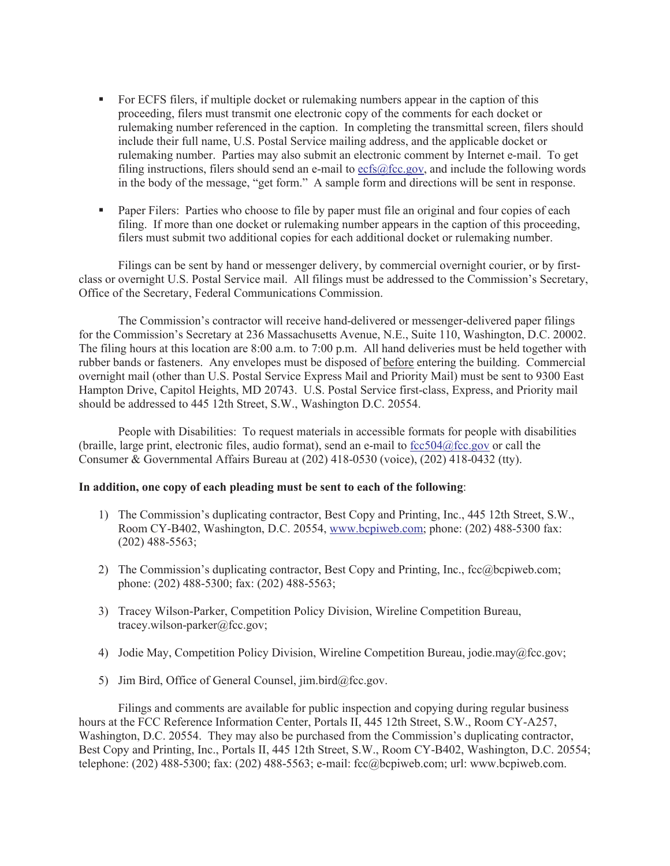- For ECFS filers, if multiple docket or rulemaking numbers appear in the caption of this proceeding, filers must transmit one electronic copy of the comments for each docket or rulemaking number referenced in the caption. In completing the transmittal screen, filers should include their full name, U.S. Postal Service mailing address, and the applicable docket or rulemaking number. Parties may also submit an electronic comment by Internet e-mail. To get filing instructions, filers should send an e-mail to ecfs@fcc.gov, and include the following words in the body of the message, "get form." A sample form and directions will be sent in response.
- Paper Filers: Parties who choose to file by paper must file an original and four copies of each filing. If more than one docket or rulemaking number appears in the caption of this proceeding, filers must submit two additional copies for each additional docket or rulemaking number.

Filings can be sent by hand or messenger delivery, by commercial overnight courier, or by firstclass or overnight U.S. Postal Service mail. All filings must be addressed to the Commission's Secretary, Office of the Secretary, Federal Communications Commission.

The Commission's contractor will receive hand-delivered or messenger-delivered paper filings for the Commission's Secretary at 236 Massachusetts Avenue, N.E., Suite 110, Washington, D.C. 20002. The filing hours at this location are 8:00 a.m. to 7:00 p.m. All hand deliveries must be held together with rubber bands or fasteners. Any envelopes must be disposed of before entering the building. Commercial overnight mail (other than U.S. Postal Service Express Mail and Priority Mail) must be sent to 9300 East Hampton Drive, Capitol Heights, MD 20743. U.S. Postal Service first-class, Express, and Priority mail should be addressed to 445 12th Street, S.W., Washington D.C. 20554.

People with Disabilities: To request materials in accessible formats for people with disabilities (braille, large print, electronic files, audio format), send an e-mail to fcc504@fcc.gov or call the Consumer & Governmental Affairs Bureau at (202) 418-0530 (voice), (202) 418-0432 (tty).

#### **In addition, one copy of each pleading must be sent to each of the following**:

- 1) The Commission's duplicating contractor, Best Copy and Printing, Inc., 445 12th Street, S.W., Room CY-B402, Washington, D.C. 20554, www.bcpiweb.com; phone: (202) 488-5300 fax: (202) 488-5563;
- 2) The Commission's duplicating contractor, Best Copy and Printing, Inc., fcc@bcpiweb.com; phone: (202) 488-5300; fax: (202) 488-5563;
- 3) Tracey Wilson-Parker, Competition Policy Division, Wireline Competition Bureau, tracey.wilson-parker@fcc.gov;
- 4) Jodie May, Competition Policy Division, Wireline Competition Bureau, jodie.may@fcc.gov;
- 5) Jim Bird, Office of General Counsel, jim.bird@fcc.gov.

Filings and comments are available for public inspection and copying during regular business hours at the FCC Reference Information Center, Portals II, 445 12th Street, S.W., Room CY-A257, Washington, D.C. 20554. They may also be purchased from the Commission's duplicating contractor, Best Copy and Printing, Inc., Portals II, 445 12th Street, S.W., Room CY-B402, Washington, D.C. 20554; telephone: (202) 488-5300; fax: (202) 488-5563; e-mail: fcc@bcpiweb.com; url: www.bcpiweb.com.